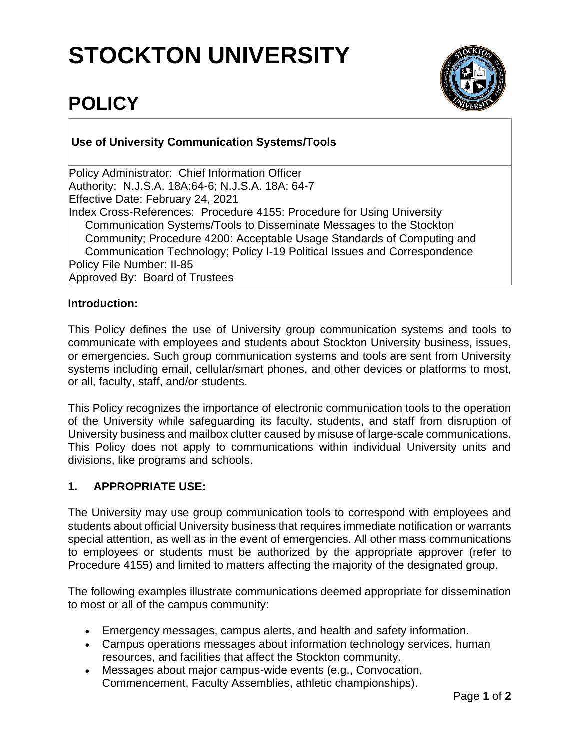# **STOCKTON UNIVERSITY**



## **POLICY**

### **Use of University Communication Systems/Tools**

Policy Administrator: Chief Information Officer Authority: N.J.S.A. 18A:64-6; N.J.S.A. 18A: 64-7 Effective Date: February 24, 2021 Index Cross-References: Procedure 4155: Procedure for Using University Communication Systems/Tools to Disseminate Messages to the Stockton Community; Procedure 4200: Acceptable Usage Standards of Computing and Communication Technology; Policy I-19 Political Issues and Correspondence Policy File Number: II-85 Approved By: Board of Trustees

#### **Introduction:**

This Policy defines the use of University group communication systems and tools to communicate with employees and students about Stockton University business, issues, or emergencies. Such group communication systems and tools are sent from University systems including email, cellular/smart phones, and other devices or platforms to most, or all, faculty, staff, and/or students.

This Policy recognizes the importance of electronic communication tools to the operation of the University while safeguarding its faculty, students, and staff from disruption of University business and mailbox clutter caused by misuse of large-scale communications. This Policy does not apply to communications within individual University units and divisions, like programs and schools.

#### **1. APPROPRIATE USE:**

The University may use group communication tools to correspond with employees and students about official University business that requires immediate notification or warrants special attention, as well as in the event of emergencies. All other mass communications to employees or students must be authorized by the appropriate approver (refer to Procedure 4155) and limited to matters affecting the majority of the designated group.

The following examples illustrate communications deemed appropriate for dissemination to most or all of the campus community:

- Emergency messages, campus alerts, and health and safety information.
- Campus operations messages about information technology services, human resources, and facilities that affect the Stockton community.
- Messages about major campus-wide events (e.g., Convocation, Commencement, Faculty Assemblies, athletic championships).